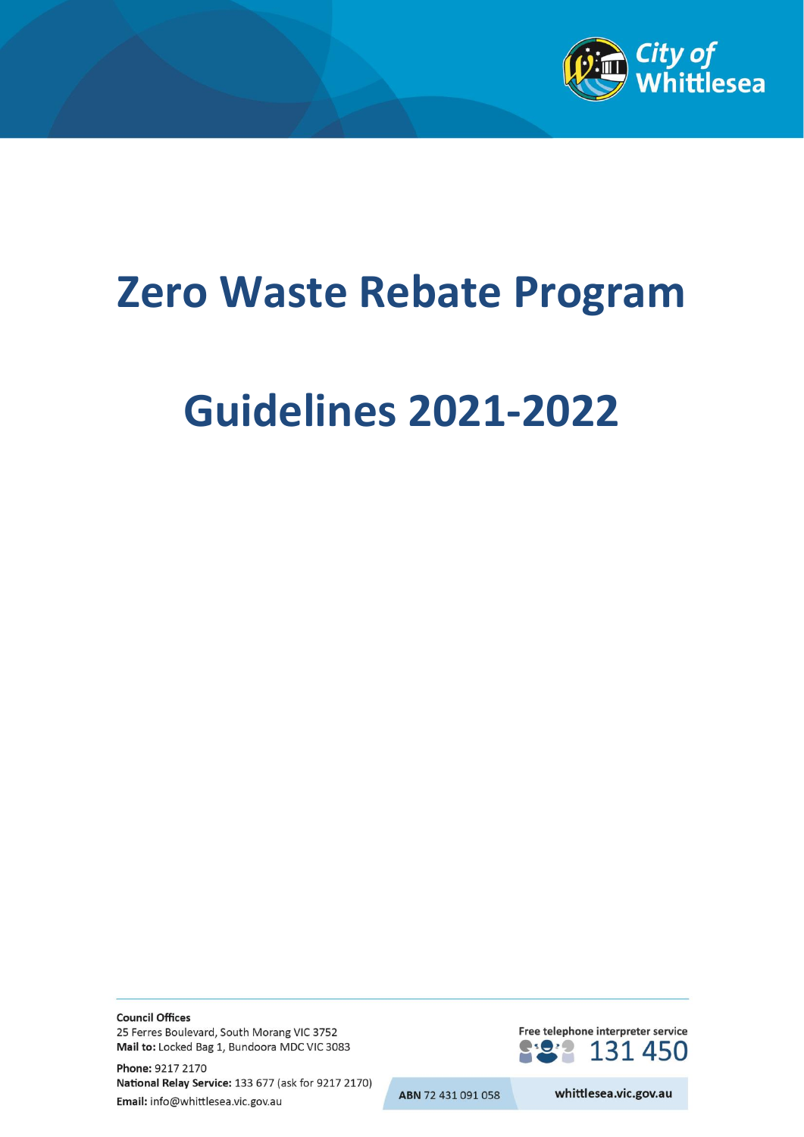

# **Zero Waste Rebate Program**

# **Guidelines 2021-2022**

**Council Offices** 25 Ferres Boulevard, South Morang VIC 3752 Mail to: Locked Bag 1, Bundoora MDC VIC 3083

Phone: 9217 2170 National Relay Service: 133 677 (ask for 9217 2170) Email: info@whittlesea.vic.gov.au

Free telephone interpreter service 131 450

ABN 72 431 091 058

whittlesea.vic.gov.au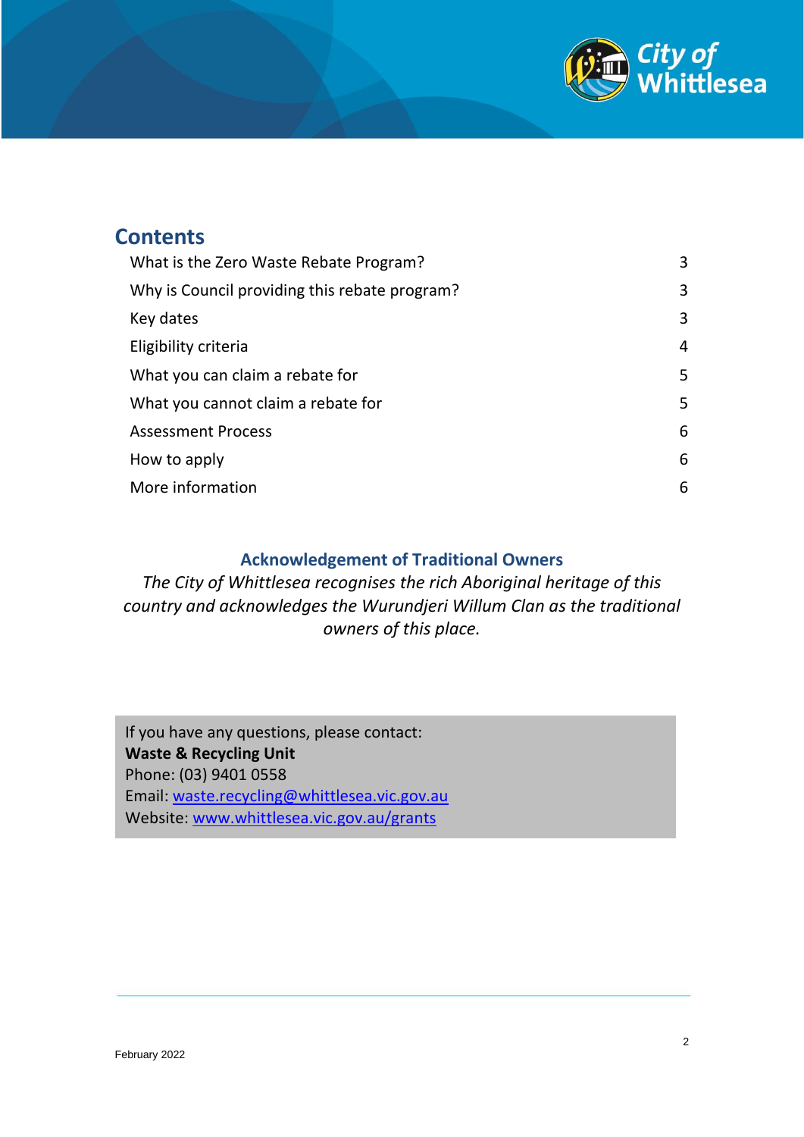

#### **Contents**

| What is the Zero Waste Rebate Program?        | 3 |
|-----------------------------------------------|---|
| Why is Council providing this rebate program? | 3 |
| Key dates                                     | 3 |
| Eligibility criteria                          | 4 |
| What you can claim a rebate for               | 5 |
| What you cannot claim a rebate for            | 5 |
| <b>Assessment Process</b>                     | 6 |
| How to apply                                  | 6 |
| More information                              | 6 |

#### **Acknowledgement of Traditional Owners**

*The City of Whittlesea recognises the rich Aboriginal heritage of this country and acknowledges the Wurundjeri Willum Clan as the traditional owners of this place.*

If you have any questions, please contact: **Waste & Recycling Unit** Phone: (03) 9401 0558 Email: [waste.recycling@whittlesea.vic.gov.au](mailto:waste.recycling@whittlesea.vic.gov.au) Website: [www.whittlesea.vic.gov.au/grants](http://www.whittlesea.vic.gov.au/grants)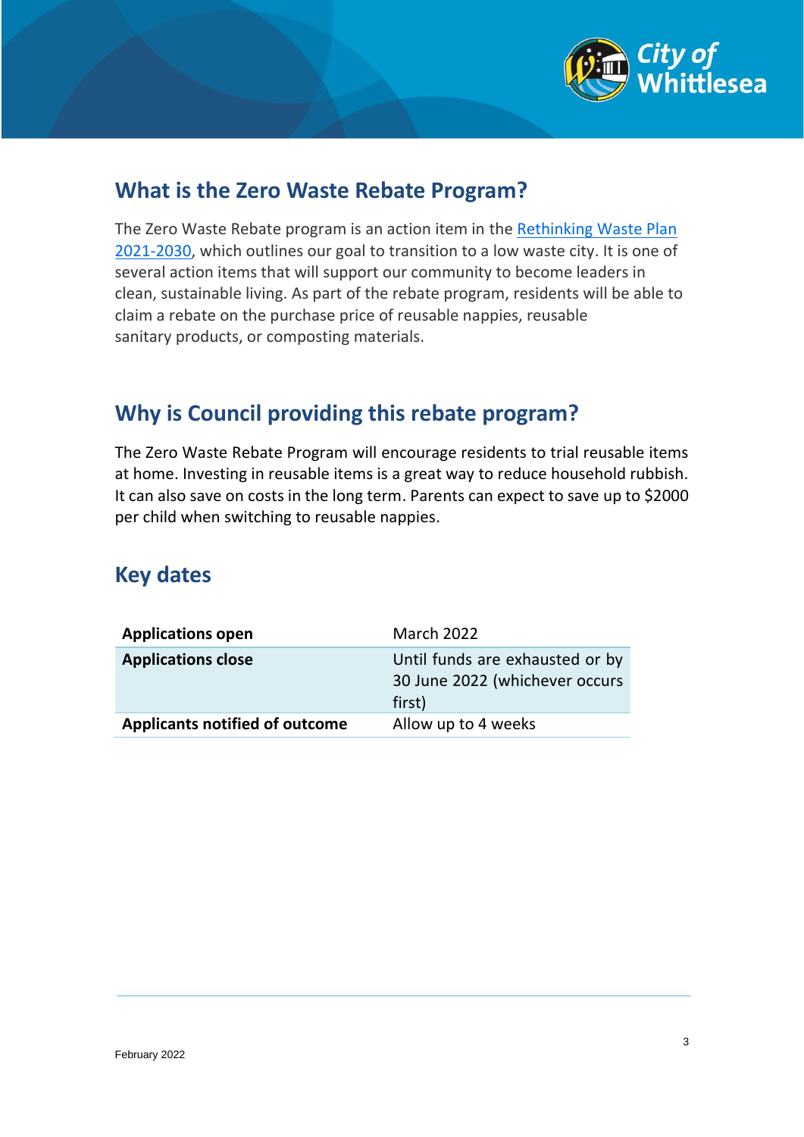

## <span id="page-2-0"></span>**What is the Zero Waste Rebate Program?**

The Zero Waste Rebate program is an action item in the [Rethinking Waste Plan](https://www.whittlesea.vic.gov.au/waste-environment/bins-and-waste/rethinking-waste-plan-2021-2030/)  [2021-2030,](https://www.whittlesea.vic.gov.au/waste-environment/bins-and-waste/rethinking-waste-plan-2021-2030/) which outlines our goal to transition to a low waste city. It is one of several action items that will support our community to become leaders in clean, sustainable living. As part of the rebate program, residents will be able to claim a rebate on the purchase price of reusable nappies, reusable sanitary products, or composting materials.

## <span id="page-2-1"></span>**Why is Council providing this rebate program?**

The Zero Waste Rebate Program will encourage residents to trial reusable items at home. Investing in reusable items is a great way to reduce household rubbish. It can also save on costs in the long term. Parents can expect to save up to \$2000 per child when switching to reusable nappies.

### <span id="page-2-2"></span>**Key dates**

| <b>Applications open</b>              | <b>March 2022</b>                                                           |
|---------------------------------------|-----------------------------------------------------------------------------|
| <b>Applications close</b>             | Until funds are exhausted or by<br>30 June 2022 (whichever occurs<br>first) |
| <b>Applicants notified of outcome</b> | Allow up to 4 weeks                                                         |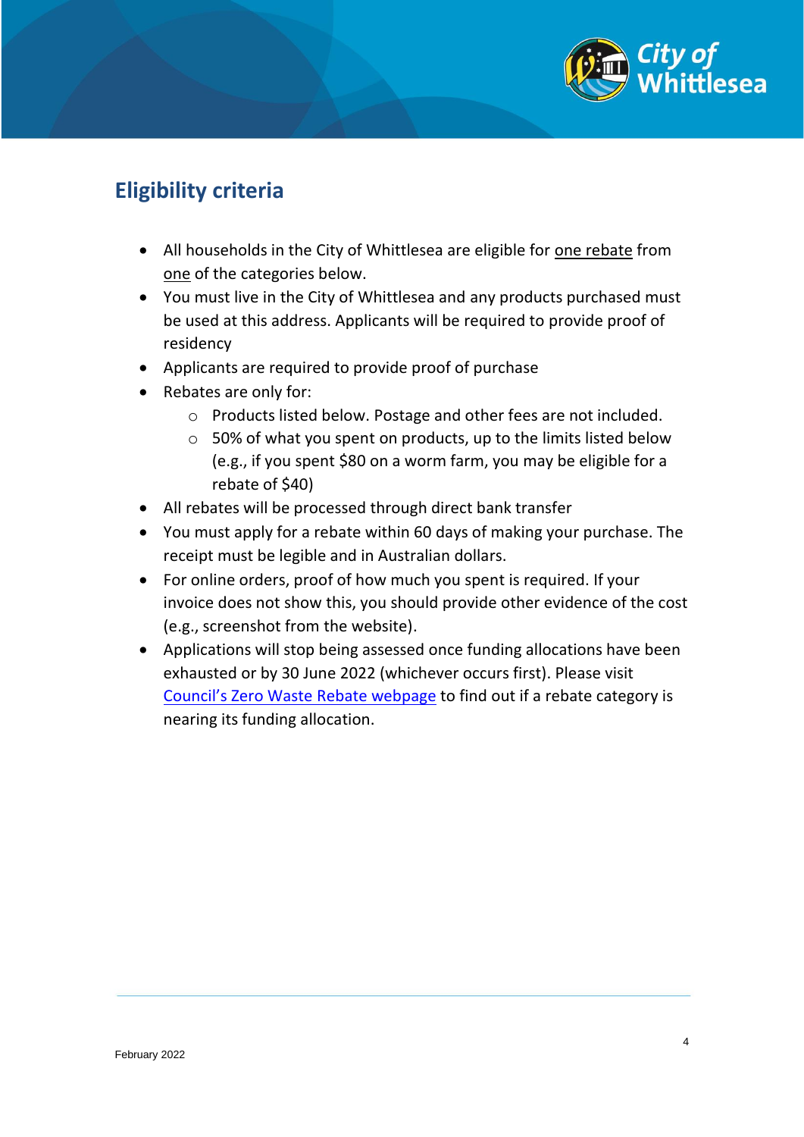

## <span id="page-3-0"></span>**Eligibility criteria**

- All households in the City of Whittlesea are eligible for one rebate from one of the categories below.
- You must live in the City of Whittlesea and any products purchased must be used at this address. Applicants will be required to provide proof of residency
- Applicants are required to provide proof of purchase
- Rebates are only for:
	- o Products listed below. Postage and other fees are not included.
	- o 50% of what you spent on products, up to the limits listed below (e.g., if you spent \$80 on a worm farm, you may be eligible for a rebate of \$40)
- All rebates will be processed through direct bank transfer
- You must apply for a rebate within 60 days of making your purchase. The receipt must be legible and in Australian dollars.
- For online orders, proof of how much you spent is required. If your invoice does not show this, you should provide other evidence of the cost (e.g., screenshot from the website).
- Applications will stop being assessed once funding allocations have been exhausted or by 30 June 2022 (whichever occurs first). Please visit [Council's Zero Waste](https://www.whittlesea.vic.gov.au/waste-environment/bins-and-waste/zero-waste-rebates/) Rebate webpage to find out if a rebate category is nearing its funding allocation.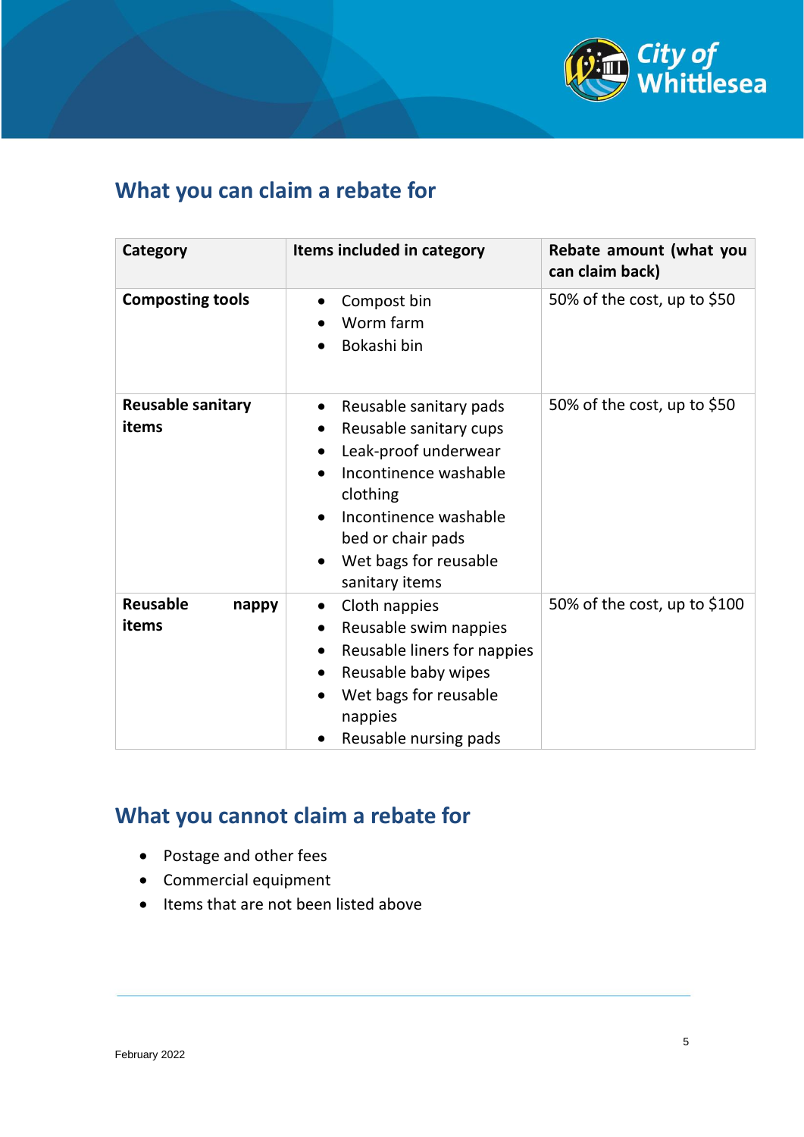

## <span id="page-4-0"></span>**What you can claim a rebate for**

| Category                          | Items included in category                                                                                                                                                                                                       | Rebate amount (what you<br>can claim back) |
|-----------------------------------|----------------------------------------------------------------------------------------------------------------------------------------------------------------------------------------------------------------------------------|--------------------------------------------|
| <b>Composting tools</b>           | Compost bin<br>$\bullet$<br>Worm farm<br>Bokashi bin                                                                                                                                                                             | 50% of the cost, up to \$50                |
| <b>Reusable sanitary</b><br>items | Reusable sanitary pads<br>$\bullet$<br>Reusable sanitary cups<br>Leak-proof underwear<br>$\bullet$<br>Incontinence washable<br>clothing<br>Incontinence washable<br>bed or chair pads<br>Wet bags for reusable<br>sanitary items | 50% of the cost, up to \$50                |
| <b>Reusable</b><br>nappy<br>items | Cloth nappies<br>$\bullet$<br>Reusable swim nappies<br>Reusable liners for nappies<br>$\bullet$<br>Reusable baby wipes<br>$\bullet$<br>Wet bags for reusable<br>nappies<br>Reusable nursing pads                                 | 50% of the cost, up to $$100$              |

## <span id="page-4-1"></span>**What you cannot claim a rebate for**

- Postage and other fees
- Commercial equipment
- Items that are not been listed above